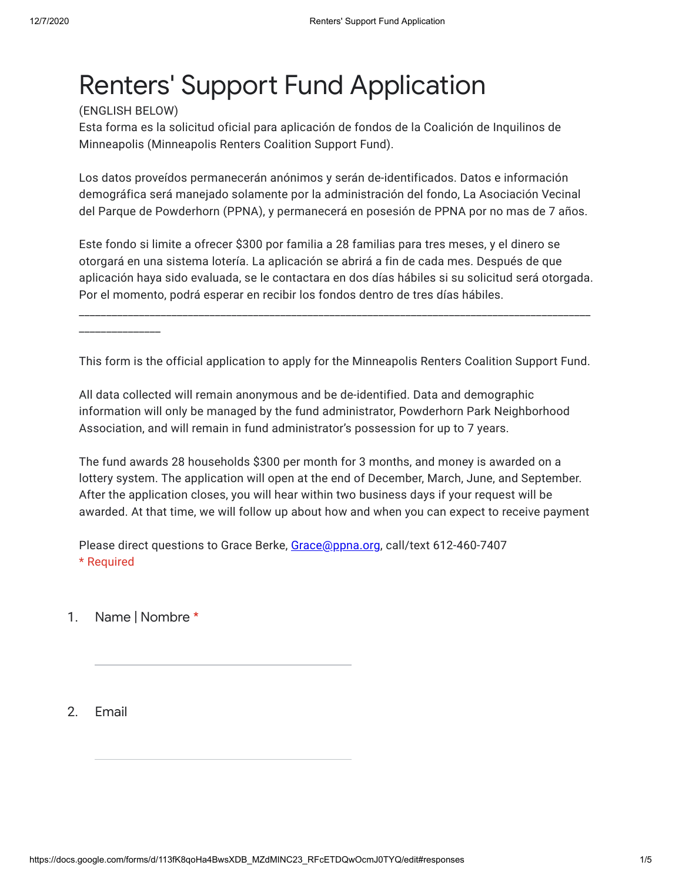## Renters' Support Fund Application

(ENGLISH BELOW)

Esta forma es la solicitud oficial para aplicación de fondos de la Coalición de Inquilinos de Minneapolis (Minneapolis Renters Coalition Support Fund).

Los datos proveídos permanecerán anónimos y serán de-identificados. Datos e información demográfica será manejado solamente por la administración del fondo, La Asociación Vecinal del Parque de Powderhorn (PPNA), y permanecerá en posesión de PPNA por no mas de 7 años.

Este fondo si limite a ofrecer \$300 por familia a 28 familias para tres meses, y el dinero se otorgará en una sistema lotería. La aplicación se abrirá a fin de cada mes. Después de que aplicación haya sido evaluada, se le contactara en dos días hábiles si su solicitud será otorgada. Por el momento, podrá esperar en recibir los fondos dentro de tres días hábiles.

\_\_\_\_\_\_\_\_\_\_\_\_\_\_\_\_\_\_\_\_\_\_\_\_\_\_\_\_\_\_\_\_\_\_\_\_\_\_\_\_\_\_\_\_\_\_\_\_\_\_\_\_\_\_\_\_\_\_\_\_\_\_\_\_\_\_\_\_\_\_\_\_\_\_\_\_\_\_\_\_\_\_\_\_\_\_\_\_\_\_\_\_\_\_

\_\_\_\_\_\_\_\_\_\_\_\_\_\_\_

This form is the official application to apply for the Minneapolis Renters Coalition Support Fund.

All data collected will remain anonymous and be de-identified. Data and demographic information will only be managed by the fund administrator, Powderhorn Park Neighborhood Association, and will remain in fund administrator's possession for up to 7 years.

The fund awards 28 households \$300 per month for 3 months, and money is awarded on a lottery system. The application will open at the end of December, March, June, and September. After the application closes, you will hear within two business days if your request will be awarded. At that time, we will follow up about how and when you can expect to receive payment

Please direct questions to Grace Berke, [Grace@ppna.org,](mailto:Grace@ppna.org) call/text 612-460-7407 \* Required

1. Name | Nombre \*

2. Email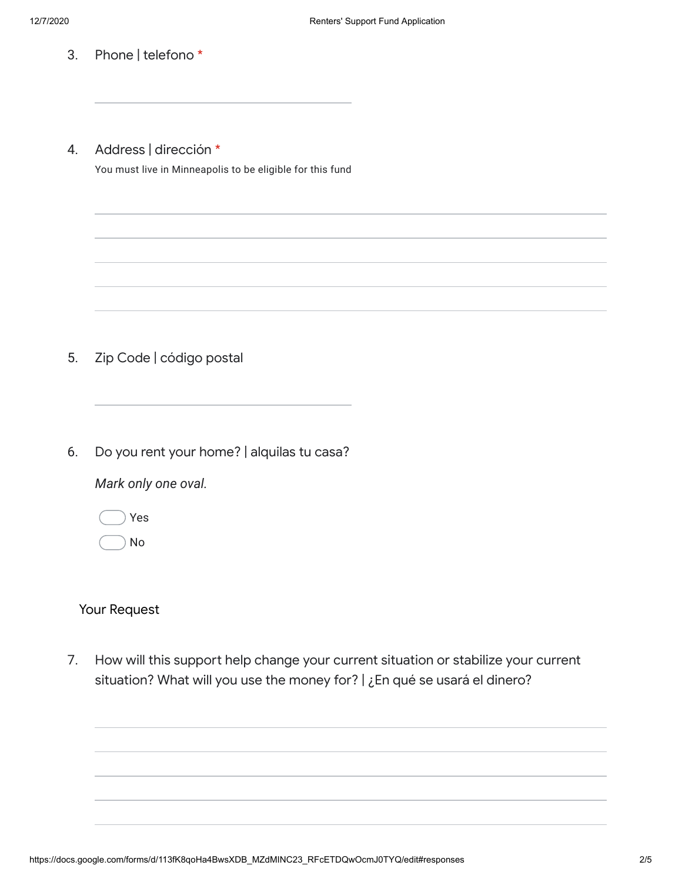- 3. Phone | telefono \*
- 4. Address | dirección \*

You must live in Minneapolis to be eligible for this fund

- 5. Zip Code | código postal
- 6. Do you rent your home? | alquilas tu casa?

*Mark only one oval.*

Yes

No

## Your Request

7. How will this support help change your current situation or stabilize your current situation? What will you use the money for? | ¿En qué se usará el dinero?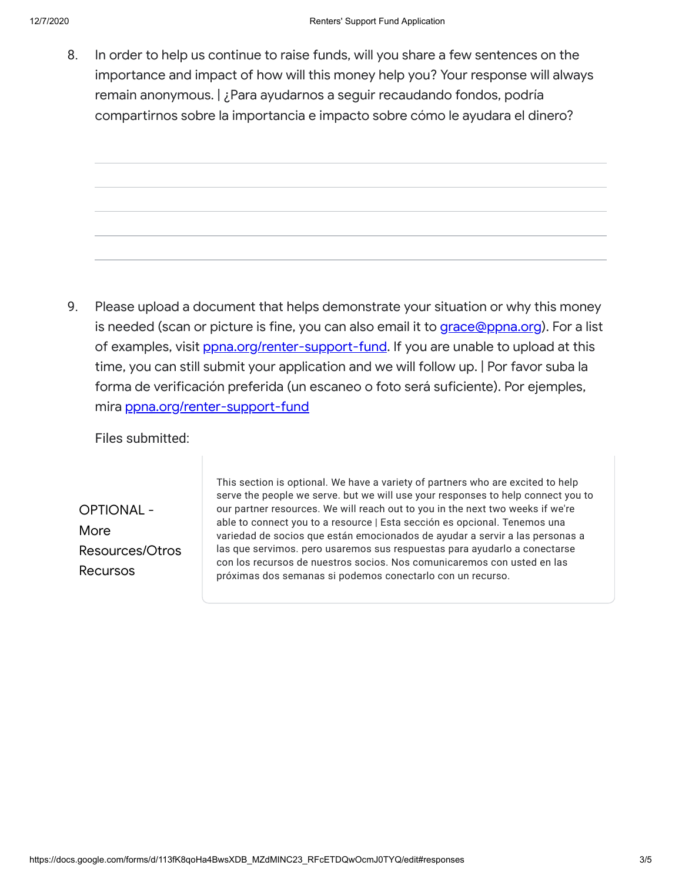8. In order to help us continue to raise funds, will you share a few sentences on the importance and impact of how will this money help you? Your response will always remain anonymous. | ¿Para ayudarnos a seguir recaudando fondos, podría compartirnos sobre la importancia e impacto sobre cómo le ayudara el dinero?

9. Please upload a document that helps demonstrate your situation or why this money is needed (scan or picture is fine, you can also email it to [grace@ppna.org](mailto:grace@ppna.org)). For a list of examples, visit pona.org/renter-support-fund. If you are unable to upload at this time, you can still submit your application and we will follow up. | Por favor suba la forma de verificación preferida (un escaneo o foto será suficiente). Por ejemples, mira [ppna.org/renter-support-fund](https://www.google.com/url?q=http://ppna.org/renter-support-fund&sa=D&ust=1607371654693000&usg=AFQjCNGciUDDe4dihr4S-xWyYlbCjZaAfA)

Files submitted:

OPTIONAL - More Resources/Otros Recursos

This section is optional. We have a variety of partners who are excited to help serve the people we serve. but we will use your responses to help connect you to our partner resources. We will reach out to you in the next two weeks if we're able to connect you to a resource | Esta sección es opcional. Tenemos una variedad de socios que están emocionados de ayudar a servir a las personas a las que servimos. pero usaremos sus respuestas para ayudarlo a conectarse con los recursos de nuestros socios. Nos comunicaremos con usted en las próximas dos semanas si podemos conectarlo con un recurso.